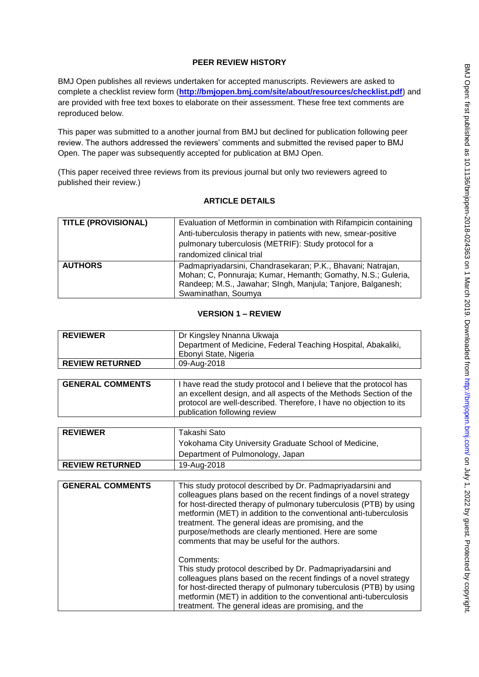## **PEER REVIEW HISTORY**

BMJ Open publishes all reviews undertaken for accepted manuscripts. Reviewers are asked to complete a checklist review form (**[http://bmjopen.bmj.com/site/about/resources/checklist.pdf\)](http://bmjopen.bmj.com/site/about/resources/checklist.pdf)** and are provided with free text boxes to elaborate on their assessment. These free text comments are reproduced below.

This paper was submitted to a another journal from BMJ but declined for publication following peer review. The authors addressed the reviewers' comments and submitted the revised paper to BMJ Open. The paper was subsequently accepted for publication at BMJ Open.

(This paper received three reviews from its previous journal but only two reviewers agreed to published their review.)

## **ARTICLE DETAILS**

| <b>TITLE (PROVISIONAL)</b> | Evaluation of Metformin in combination with Rifampicin containing<br>Anti-tuberculosis therapy in patients with new, smear-positive<br>pulmonary tuberculosis (METRIF): Study protocol for a<br>randomized clinical trial |
|----------------------------|---------------------------------------------------------------------------------------------------------------------------------------------------------------------------------------------------------------------------|
| <b>AUTHORS</b>             | Padmapriyadarsini, Chandrasekaran; P.K., Bhavani; Natrajan,<br>Mohan; C, Ponnuraja; Kumar, Hemanth; Gomathy, N.S.; Guleria,<br>Randeep; M.S., Jawahar; SIngh, Manjula; Tanjore, Balganesh;<br>Swaminathan, Soumya         |

#### **VERSION 1 – REVIEW**

| <b>REVIEWER</b>        | Dr Kingsley Nnanna Ukwaja                                     |
|------------------------|---------------------------------------------------------------|
|                        | Department of Medicine, Federal Teaching Hospital, Abakaliki, |
|                        | Ebonyi State, Nigeria                                         |
| <b>REVIEW RETURNED</b> | 09-Aug-2018                                                   |

| <b>GENERAL COMMENTS</b> | I have read the study protocol and I believe that the protocol has<br>an excellent design, and all aspects of the Methods Section of the<br>protocol are well-described. Therefore, I have no objection to its<br>publication following review |
|-------------------------|------------------------------------------------------------------------------------------------------------------------------------------------------------------------------------------------------------------------------------------------|
|-------------------------|------------------------------------------------------------------------------------------------------------------------------------------------------------------------------------------------------------------------------------------------|

| <b>REVIEWER</b>        | Takashi Sato                                          |
|------------------------|-------------------------------------------------------|
|                        | Yokohama City University Graduate School of Medicine, |
|                        | Department of Pulmonology, Japan                      |
| <b>REVIEW RETURNED</b> | 19-Aug-2018                                           |

| <b>GENERAL COMMENTS</b> | This study protocol described by Dr. Padmapriyadarsini and<br>colleagues plans based on the recent findings of a novel strategy<br>for host-directed therapy of pulmonary tuberculosis (PTB) by using<br>metformin (MET) in addition to the conventional anti-tuberculosis<br>treatment. The general ideas are promising, and the<br>purpose/methods are clearly mentioned. Here are some<br>comments that may be useful for the authors. |
|-------------------------|-------------------------------------------------------------------------------------------------------------------------------------------------------------------------------------------------------------------------------------------------------------------------------------------------------------------------------------------------------------------------------------------------------------------------------------------|
|                         | Comments:<br>This study protocol described by Dr. Padmapriyadarsini and<br>colleagues plans based on the recent findings of a novel strategy<br>for host-directed therapy of pulmonary tuberculosis (PTB) by using<br>metformin (MET) in addition to the conventional anti-tuberculosis<br>treatment. The general ideas are promising, and the                                                                                            |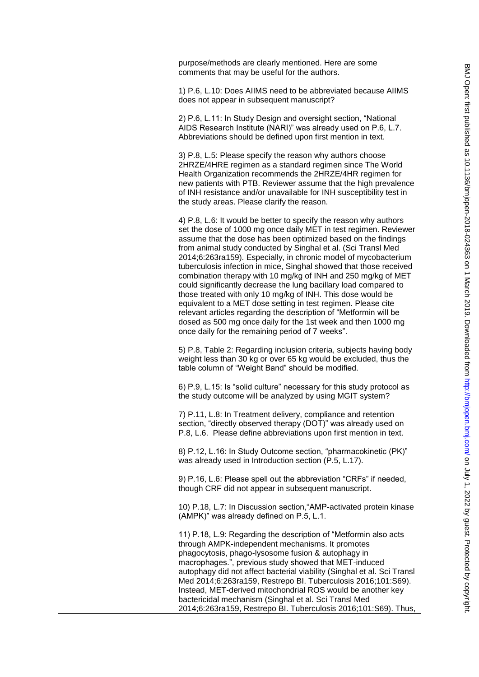| purpose/methods are clearly mentioned. Here are some<br>comments that may be useful for the authors.                                                                                                                                                                                                                                                                                                                                                                                                                                                                                                                                                                                                                                                                                                                                                                           |
|--------------------------------------------------------------------------------------------------------------------------------------------------------------------------------------------------------------------------------------------------------------------------------------------------------------------------------------------------------------------------------------------------------------------------------------------------------------------------------------------------------------------------------------------------------------------------------------------------------------------------------------------------------------------------------------------------------------------------------------------------------------------------------------------------------------------------------------------------------------------------------|
| 1) P.6, L.10: Does AIIMS need to be abbreviated because AIIMS<br>does not appear in subsequent manuscript?                                                                                                                                                                                                                                                                                                                                                                                                                                                                                                                                                                                                                                                                                                                                                                     |
| 2) P.6, L.11: In Study Design and oversight section, "National<br>AIDS Research Institute (NARI)" was already used on P.6, L.7.<br>Abbreviations should be defined upon first mention in text.                                                                                                                                                                                                                                                                                                                                                                                                                                                                                                                                                                                                                                                                                 |
| 3) P.8, L.5: Please specify the reason why authors choose<br>2HRZE/4HRE regimen as a standard regimen since The World<br>Health Organization recommends the 2HRZE/4HR regimen for<br>new patients with PTB. Reviewer assume that the high prevalence<br>of INH resistance and/or unavailable for INH susceptibility test in<br>the study areas. Please clarify the reason.                                                                                                                                                                                                                                                                                                                                                                                                                                                                                                     |
| 4) P.8, L.6: It would be better to specify the reason why authors<br>set the dose of 1000 mg once daily MET in test regimen. Reviewer<br>assume that the dose has been optimized based on the findings<br>from animal study conducted by Singhal et al. (Sci Transl Med<br>2014;6:263ra159). Especially, in chronic model of mycobacterium<br>tuberculosis infection in mice, Singhal showed that those received<br>combination therapy with 10 mg/kg of INH and 250 mg/kg of MET<br>could significantly decrease the lung bacillary load compared to<br>those treated with only 10 mg/kg of INH. This dose would be<br>equivalent to a MET dose setting in test regimen. Please cite<br>relevant articles regarding the description of "Metformin will be<br>dosed as 500 mg once daily for the 1st week and then 1000 mg<br>once daily for the remaining period of 7 weeks". |
| 5) P.8, Table 2: Regarding inclusion criteria, subjects having body<br>weight less than 30 kg or over 65 kg would be excluded, thus the<br>table column of "Weight Band" should be modified.                                                                                                                                                                                                                                                                                                                                                                                                                                                                                                                                                                                                                                                                                   |
| 6) P.9, L.15: Is "solid culture" necessary for this study protocol as<br>the study outcome will be analyzed by using MGIT system?                                                                                                                                                                                                                                                                                                                                                                                                                                                                                                                                                                                                                                                                                                                                              |
| 7) P.11, L.8: In Treatment delivery, compliance and retention<br>section, "directly observed therapy (DOT)" was already used on<br>P.8, L.6. Please define abbreviations upon first mention in text.                                                                                                                                                                                                                                                                                                                                                                                                                                                                                                                                                                                                                                                                           |
| 8) P.12, L.16: In Study Outcome section, "pharmacokinetic (PK)"<br>was already used in Introduction section (P.5, L.17).                                                                                                                                                                                                                                                                                                                                                                                                                                                                                                                                                                                                                                                                                                                                                       |
| 9) P.16, L.6: Please spell out the abbreviation "CRFs" if needed,<br>though CRF did not appear in subsequent manuscript.                                                                                                                                                                                                                                                                                                                                                                                                                                                                                                                                                                                                                                                                                                                                                       |
| 10) P.18, L.7: In Discussion section, AMP-activated protein kinase<br>(AMPK)" was already defined on P.5, L.1.                                                                                                                                                                                                                                                                                                                                                                                                                                                                                                                                                                                                                                                                                                                                                                 |
| 11) P.18, L.9: Regarding the description of "Metformin also acts<br>through AMPK-independent mechanisms. It promotes<br>phagocytosis, phago-lysosome fusion & autophagy in<br>macrophages.", previous study showed that MET-induced<br>autophagy did not affect bacterial viability (Singhal et al. Sci Transl<br>Med 2014;6:263ra159, Restrepo Bl. Tuberculosis 2016;101:S69).<br>Instead, MET-derived mitochondrial ROS would be another key<br>bactericidal mechanism (Singhal et al. Sci Transl Med<br>2014;6:263ra159, Restrepo Bl. Tuberculosis 2016;101:S69). Thus,                                                                                                                                                                                                                                                                                                     |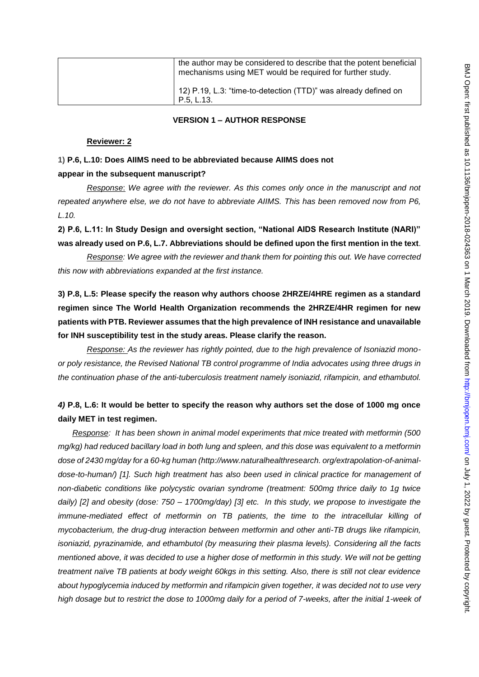| the author may be considered to describe that the potent beneficial<br>mechanisms using MET would be required for further study. |
|----------------------------------------------------------------------------------------------------------------------------------|
| 12) P.19, L.3: "time-to-detection (TTD)" was already defined on<br>P.5. L.13.                                                    |

#### **VERSION 1 – AUTHOR RESPONSE**

#### **Reviewer: 2**

# **1) P.6, L.10: Does AIIMS need to be abbreviated because AIIMS does not appear in the subsequent manuscript?**

*Response*: *We agree with the reviewer. As this comes only once in the manuscript and not repeated anywhere else, we do not have to abbreviate AIIMS. This has been removed now from P6, L.10.*

**2) P.6, L.11: In Study Design and oversight section, "National AIDS Research Institute (NARI)" was already used on P.6, L.7. Abbreviations should be defined upon the first mention in the text**.

*Response: We agree with the reviewer and thank them for pointing this out. We have corrected this now with abbreviations expanded at the first instance.* 

**3) P.8, L.5: Please specify the reason why authors choose 2HRZE/4HRE regimen as a standard regimen since The World Health Organization recommends the 2HRZE/4HR regimen for new patients with PTB. Reviewer assumes that the high prevalence of INH resistance and unavailable for INH susceptibility test in the study areas. Please clarify the reason.**

*Response: As the reviewer has rightly pointed, due to the high prevalence of Isoniazid monoor poly resistance, the Revised National TB control programme of India advocates using three drugs in the continuation phase of the anti-tuberculosis treatment namely isoniazid, rifampicin, and ethambutol.* 

# *4)* **P.8, L.6: It would be better to specify the reason why authors set the dose of 1000 mg once daily MET in test regimen.**

*Response: It has been shown in animal model experiments that mice treated with metformin (500 mg/kg) had reduced bacillary load in both lung and spleen, and this dose was equivalent to a metformin dose of 2430 mg/day for a 60-kg human (http://www.naturalhealthresearch. org/extrapolation-of-animaldose-to-human/) [1]. Such high treatment has also been used in clinical practice for management of non-diabetic conditions like polycystic ovarian syndrome (treatment: 500mg thrice daily to 1g twice daily) [2] and obesity (dose: 750 – 1700mg/day) [3] etc. In this study, we propose to investigate the immune-mediated effect of metformin on TB patients, the time to the intracellular killing of mycobacterium, the drug-drug interaction between metformin and other anti-TB drugs like rifampicin, isoniazid, pyrazinamide, and ethambutol (by measuring their plasma levels). Considering all the facts mentioned above, it was decided to use a higher dose of metformin in this study. We will not be getting treatment naïve TB patients at body weight 60kgs in this setting. Also, there is still not clear evidence about hypoglycemia induced by metformin and rifampicin given together, it was decided not to use very high dosage but to restrict the dose to 1000mg daily for a period of 7-weeks, after the initial 1-week of*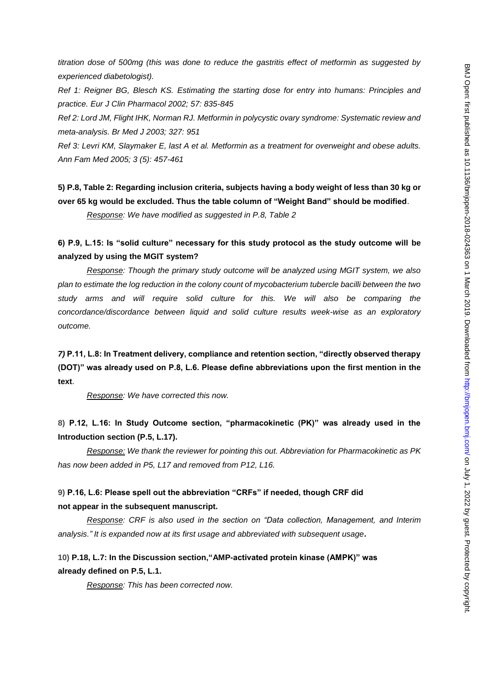*titration dose of 500mg (this was done to reduce the gastritis effect of metformin as suggested by experienced diabetologist).*

*Ref 1: Reigner BG, Blesch KS. Estimating the starting dose for entry into humans: Principles and practice. Eur J Clin Pharmacol 2002; 57: 835-845*

*Ref 2: Lord JM, Flight IHK, Norman RJ. Metformin in polycystic ovary syndrome: Systematic review and meta-analysis. Br Med J 2003; 327: 951*

*Ref 3: Levri KM, Slaymaker E, last A et al. Metformin as a treatment for overweight and obese adults. Ann Fam Med 2005; 3 (5): 457-461*

**5) P.8, Table 2: Regarding inclusion criteria, subjects having a body weight of less than 30 kg or over 65 kg would be excluded. Thus the table column of "Weight Band" should be modified**.

*Response: We have modified as suggested in P.8, Table 2*

## **6) P.9, L.15: Is "solid culture" necessary for this study protocol as the study outcome will be analyzed by using the MGIT system?**

*Response: Though the primary study outcome will be analyzed using MGIT system, we also plan to estimate the log reduction in the colony count of mycobacterium tubercle bacilli between the two study arms and will require solid culture for this. We will also be comparing the concordance/discordance between liquid and solid culture results week-wise as an exploratory outcome.* 

*7)* **P.11, L.8: In Treatment delivery, compliance and retention section, "directly observed therapy (DOT)" was already used on P.8, L.6. Please define abbreviations upon the first mention in the text**.

*Response: We have corrected this now.*

# **8) P.12, L.16: In Study Outcome section, "pharmacokinetic (PK)" was already used in the Introduction section (P.5, L.17).**

*Response: We thank the reviewer for pointing this out. Abbreviation for Pharmacokinetic as PK has now been added in P5, L17 and removed from P12, L16.*

# **9) P.16, L.6: Please spell out the abbreviation "CRFs" if needed, though CRF did not appear in the subsequent manuscript.**

*Response: CRF is also used in the section on "Data collection, Management, and Interim analysis." It is expanded now at its first usage and abbreviated with subsequent usage***.**

**10) P.18, L.7: In the Discussion section,"AMP-activated protein kinase (AMPK)" was already defined on P.5, L.1.**

*Response: This has been corrected now.*